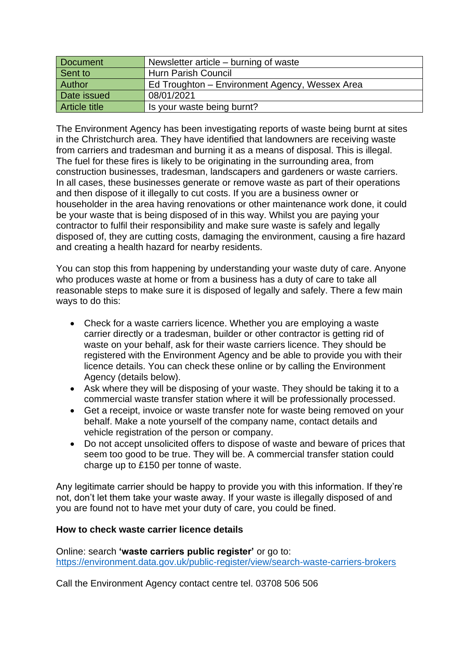| Document             | Newsletter article – burning of waste          |
|----------------------|------------------------------------------------|
| Sent to              | <b>Hurn Parish Council</b>                     |
| Author               | Ed Troughton - Environment Agency, Wessex Area |
| Date issued          | 08/01/2021                                     |
| <b>Article title</b> | Is your waste being burnt?                     |

The Environment Agency has been investigating reports of waste being burnt at sites in the Christchurch area. They have identified that landowners are receiving waste from carriers and tradesman and burning it as a means of disposal. This is illegal. The fuel for these fires is likely to be originating in the surrounding area, from construction businesses, tradesman, landscapers and gardeners or waste carriers. In all cases, these businesses generate or remove waste as part of their operations and then dispose of it illegally to cut costs. If you are a business owner or householder in the area having renovations or other maintenance work done, it could be your waste that is being disposed of in this way. Whilst you are paying your contractor to fulfil their responsibility and make sure waste is safely and legally disposed of, they are cutting costs, damaging the environment, causing a fire hazard and creating a health hazard for nearby residents.

You can stop this from happening by understanding your waste duty of care. Anyone who produces waste at home or from a business has a duty of care to take all reasonable steps to make sure it is disposed of legally and safely. There a few main ways to do this:

- Check for a waste carriers licence. Whether you are employing a waste carrier directly or a tradesman, builder or other contractor is getting rid of waste on your behalf, ask for their waste carriers licence. They should be registered with the Environment Agency and be able to provide you with their licence details. You can check these online or by calling the Environment Agency (details below).
- Ask where they will be disposing of your waste. They should be taking it to a commercial waste transfer station where it will be professionally processed.
- Get a receipt, invoice or waste transfer note for waste being removed on your behalf. Make a note yourself of the company name, contact details and vehicle registration of the person or company.
- Do not accept unsolicited offers to dispose of waste and beware of prices that seem too good to be true. They will be. A commercial transfer station could charge up to £150 per tonne of waste.

Any legitimate carrier should be happy to provide you with this information. If they're not, don't let them take your waste away. If your waste is illegally disposed of and you are found not to have met your duty of care, you could be fined.

## **How to check waste carrier licence details**

Online: search **'waste carriers public register'** or go to: <https://environment.data.gov.uk/public-register/view/search-waste-carriers-brokers>

Call the Environment Agency contact centre tel. 03708 506 506